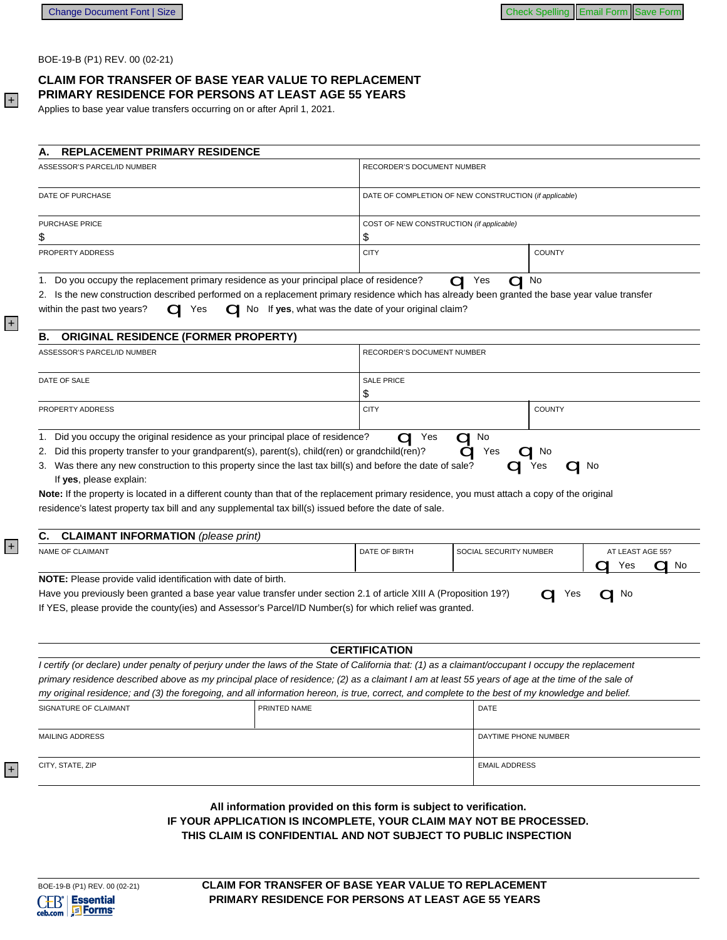BOE-19-B (P1) REV. 00 (02-21)

## CLAIM FOR TRANSFER OF BASE YEAR VALUE TO REPLACEMENT PRIMARY RESIDENCE FOR PERSONS AT LEAST AGE 55 YEARS

Applies to base year value transfers occurring on or after April 1, 2021.

| <b>REPLACEMENT PRIMARY RESIDENCE</b><br>Α.                                                                                                                                                                                                                                                                                                                                                             |                                                      |                                                        |  |                        |                               |  |
|--------------------------------------------------------------------------------------------------------------------------------------------------------------------------------------------------------------------------------------------------------------------------------------------------------------------------------------------------------------------------------------------------------|------------------------------------------------------|--------------------------------------------------------|--|------------------------|-------------------------------|--|
| ASSESSOR'S PARCEL/ID NUMBER                                                                                                                                                                                                                                                                                                                                                                            |                                                      | RECORDER'S DOCUMENT NUMBER                             |  |                        |                               |  |
| DATE OF PURCHASE                                                                                                                                                                                                                                                                                                                                                                                       |                                                      | DATE OF COMPLETION OF NEW CONSTRUCTION (if applicable) |  |                        |                               |  |
| PURCHASE PRICE                                                                                                                                                                                                                                                                                                                                                                                         |                                                      | COST OF NEW CONSTRUCTION (if applicable)               |  |                        |                               |  |
|                                                                                                                                                                                                                                                                                                                                                                                                        |                                                      | \$                                                     |  |                        |                               |  |
| PROPERTY ADDRESS                                                                                                                                                                                                                                                                                                                                                                                       |                                                      | <b>CITY</b>                                            |  | <b>COUNTY</b>          |                               |  |
| 1. Do you occupy the replacement primary residence as your principal place of residence?<br>2. Is the new construction described performed on a replacement primary residence which has already been granted the base year value transfer<br>within the past two years?<br>Yes                                                                                                                         | No If yes, what was the date of your original claim? |                                                        |  | Yes<br>No              |                               |  |
| <b>ORIGINAL RESIDENCE (FORMER PROPERTY)</b><br>В.                                                                                                                                                                                                                                                                                                                                                      |                                                      |                                                        |  |                        |                               |  |
| ASSESSOR'S PARCEL/ID NUMBER                                                                                                                                                                                                                                                                                                                                                                            |                                                      | <b>RECORDER'S DOCUMENT NUMBER</b>                      |  |                        |                               |  |
| DATE OF SALE                                                                                                                                                                                                                                                                                                                                                                                           |                                                      | <b>SALE PRICE</b>                                      |  |                        |                               |  |
|                                                                                                                                                                                                                                                                                                                                                                                                        |                                                      | \$                                                     |  |                        |                               |  |
| PROPERTY ADDRESS                                                                                                                                                                                                                                                                                                                                                                                       |                                                      | <b>CITY</b>                                            |  | <b>COUNTY</b>          |                               |  |
| 3. Was there any new construction to this property since the last tax bill(s) and before the date of sale?<br>If yes, please explain:<br><b>Note:</b> If the property is located in a different county than that of the replacement primary residence, you must attach a copy of the original<br>residence's latest property tax bill and any supplemental tax bill(s) issued before the date of sale. |                                                      |                                                        |  | Yes                    | $\Box$ No                     |  |
| <b>CLAIMANT INFORMATION</b> (please print)<br>С.                                                                                                                                                                                                                                                                                                                                                       |                                                      |                                                        |  |                        |                               |  |
| <b>NAME OF CLAIMANT</b>                                                                                                                                                                                                                                                                                                                                                                                |                                                      | DATE OF BIRTH                                          |  | SOCIAL SECURITY NUMBER | AT LEAST AGE 55?<br>Yes<br>No |  |
| <b>NOTE:</b> Please provide valid identification with date of birth.<br>Have you previously been granted a base year value transfer under section 2.1 of article XIII A (Proposition 19?)<br>If YES, please provide the county(ies) and Assessor's Parcel/ID Number(s) for which relief was granted.                                                                                                   |                                                      |                                                        |  | Yes                    | No                            |  |
|                                                                                                                                                                                                                                                                                                                                                                                                        |                                                      | <b>CERTIFICATION</b>                                   |  |                        |                               |  |
| I certify (or declare) under penalty of perjury under the laws of the State of California that: (1) as a claimant/occupant I occupy the replacement                                                                                                                                                                                                                                                    |                                                      |                                                        |  |                        |                               |  |
| primary residence described above as my principal place of residence; (2) as a claimant I am at least 55 years of age at the time of the sale of                                                                                                                                                                                                                                                       |                                                      |                                                        |  |                        |                               |  |
| my original residence; and (3) the foregoing, and all information hereon, is true, correct, and complete to the best of my knowledge and belief.                                                                                                                                                                                                                                                       |                                                      |                                                        |  |                        |                               |  |
| SIGNATURE OF CLAIMANT                                                                                                                                                                                                                                                                                                                                                                                  | PRINTED NAME                                         |                                                        |  | <b>DATE</b>            |                               |  |
| <b>MAILING ADDRESS</b>                                                                                                                                                                                                                                                                                                                                                                                 |                                                      |                                                        |  | DAYTIME PHONE NUMBER   |                               |  |

CITY, STATE, ZIP

 $+$ 

 $|+|$ 

 $\overline{+}$ 

 $+$ 

All information provided on this form is subject to verification. IF YOUR APPLICATION IS INCOMPLETE, YOUR CLAIM MAY NOT BE PROCESSED. THIS CLAIM IS CONFIDENTIAL AND NOT SUBJECT TO PUBLIC INSPECTION

**EMAIL ADDRESS**